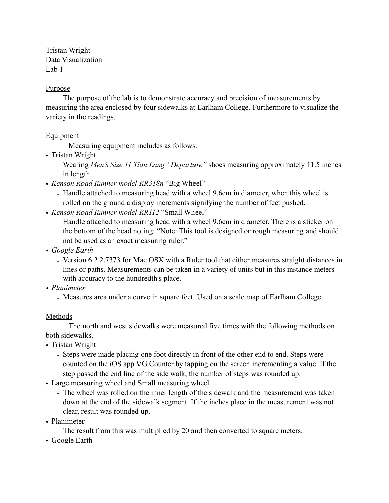Tristan Wright Data Visualization Lab 1

### Purpose

The purpose of the lab is to demonstrate accuracy and precision of measurements by measuring the area enclosed by four sidewalks at Earlham College. Furthermore to visualize the variety in the readings.

# **Equipment**

Measuring equipment includes as follows:

- Tristan Wright
	- Wearing *Men's Size 11 Tian Lang "Departure"* shoes measuring approximately 11.5 inches in length.
- *Kenson Road Runner model RR318n* "Big Wheel"
	- Handle attached to measuring head with a wheel 9.6cm in diameter, when this wheel is rolled on the ground a display increments signifying the number of feet pushed.
- *Kenson Road Runner model RR112* "Small Wheel"
	- Handle attached to measuring head with a wheel 9.6cm in diameter. There is a sticker on the bottom of the head noting: "Note: This tool is designed or rough measuring and should not be used as an exact measuring ruler."
- *• Google Earth*
	- Version 6.2.2.7373 for Mac OSX with a Ruler tool that either measures straight distances in lines or paths. Measurements can be taken in a variety of units but in this instance meters with accuracy to the hundredth's place.
- *• Planimeter*
	- Measures area under a curve in square feet. Used on a scale map of Earlham College.

#### **Methods**

The north and west sidewalks were measured five times with the following methods on both sidewalks.

- Tristan Wright
	- Steps were made placing one foot directly in front of the other end to end. Steps were counted on the iOS app VG Counter by tapping on the screen incrementing a value. If the step passed the end line of the side walk, the number of steps was rounded up.
- Large measuring wheel and Small measuring wheel
	- The wheel was rolled on the inner length of the sidewalk and the measurement was taken down at the end of the sidewalk segment. If the inches place in the measurement was not clear, result was rounded up.
- Planimeter
	- The result from this was multiplied by 20 and then converted to square meters.
- Google Earth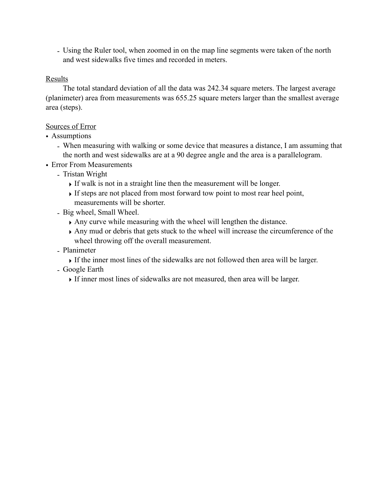- Using the Ruler tool, when zoomed in on the map line segments were taken of the north and west sidewalks five times and recorded in meters.

### Results

The total standard deviation of all the data was 242.34 square meters. The largest average (planimeter) area from measurements was 655.25 square meters larger than the smallest average area (steps).

# Sources of Error

- Assumptions
	- When measuring with walking or some device that measures a distance, I am assuming that the north and west sidewalks are at a 90 degree angle and the area is a parallelogram.
- Error From Measurements
	- Tristan Wright
		- ‣ If walk is not in a straight line then the measurement will be longer.
		- ‣ If steps are not placed from most forward tow point to most rear heel point, measurements will be shorter.
	- Big wheel, Small Wheel.
		- ‣ Any curve while measuring with the wheel will lengthen the distance.
		- ‣ Any mud or debris that gets stuck to the wheel will increase the circumference of the wheel throwing off the overall measurement.
	- Planimeter
		- ‣ If the inner most lines of the sidewalks are not followed then area will be larger.
	- Google Earth
		- ‣ If inner most lines of sidewalks are not measured, then area will be larger.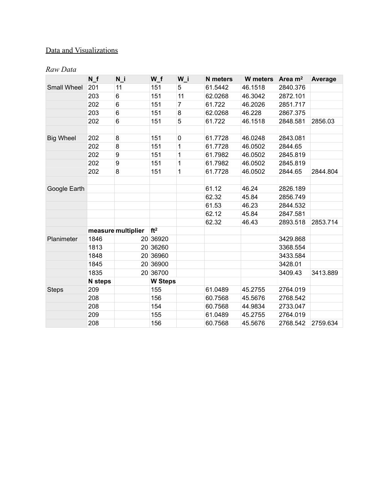# Data and Visualizations

#### *Raw Data*

|                    | N f            | N i                | W f             | W i            | <b>N</b> meters | <b>W</b> meters | Area $m2$ | Average  |
|--------------------|----------------|--------------------|-----------------|----------------|-----------------|-----------------|-----------|----------|
| <b>Small Wheel</b> | 201            | 11                 | 151             | 5              | 61.5442         | 46.1518         | 2840.376  |          |
|                    | 203            | 6                  | 151             | 11             | 62.0268         | 46.3042         | 2872.101  |          |
|                    | 202            | 6                  | 151             | $\overline{7}$ | 61.722          | 46.2026         | 2851.717  |          |
|                    | 203            | 6                  | 151             | 8              | 62.0268         | 46.228          | 2867.375  |          |
|                    | 202            | 6                  | 151             | 5              | 61.722          | 46.1518         | 2848.581  | 2856.03  |
|                    |                |                    |                 |                |                 |                 |           |          |
| <b>Big Wheel</b>   | 202            | 8                  | 151             | 0              | 61.7728         | 46.0248         | 2843.081  |          |
|                    | 202            | 8                  | 151             | 1              | 61.7728         | 46.0502         | 2844.65   |          |
|                    | 202            | 9                  | 151             | 1              | 61.7982         | 46.0502         | 2845.819  |          |
|                    | 202            | 9                  | 151             | 1              | 61.7982         | 46.0502         | 2845.819  |          |
|                    | 202            | 8                  | 151             | 1              | 61.7728         | 46.0502         | 2844.65   | 2844.804 |
|                    |                |                    |                 |                |                 |                 |           |          |
| Google Earth       |                |                    |                 |                | 61.12           | 46.24           | 2826.189  |          |
|                    |                |                    |                 |                | 62.32           | 45.84           | 2856.749  |          |
|                    |                |                    |                 |                | 61.53           | 46.23           | 2844.532  |          |
|                    |                |                    |                 |                | 62.12           | 45.84           | 2847.581  |          |
|                    |                |                    |                 |                | 62.32           | 46.43           | 2893.518  | 2853.714 |
|                    |                | measure multiplier | ft <sup>2</sup> |                |                 |                 |           |          |
| Planimeter         | 1846           |                    | 20 36920        |                |                 |                 | 3429.868  |          |
|                    | 1813           |                    | 20 36260        |                |                 |                 | 3368.554  |          |
|                    | 1848           |                    | 20 36960        |                |                 |                 | 3433.584  |          |
|                    | 1845           |                    | 20 36900        |                |                 |                 | 3428.01   |          |
|                    | 1835           |                    | 20 36700        |                |                 |                 | 3409.43   | 3413.889 |
|                    | <b>N</b> steps |                    | <b>W Steps</b>  |                |                 |                 |           |          |
| <b>Steps</b>       | 209            |                    | 155             |                | 61.0489         | 45.2755         | 2764.019  |          |
|                    | 208            |                    | 156             |                | 60.7568         | 45.5676         | 2768.542  |          |
|                    | 208            |                    | 154             |                | 60.7568         | 44.9834         | 2733.047  |          |
|                    | 209            |                    | 155             |                | 61.0489         | 45.2755         | 2764.019  |          |
|                    | 208            |                    | 156             |                | 60.7568         | 45.5676         | 2768.542  | 2759.634 |